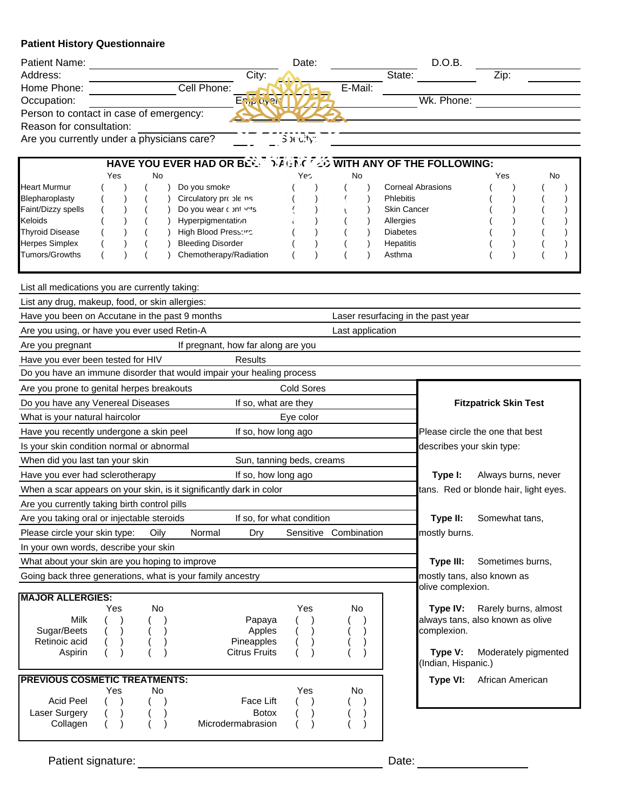## **Patient History Questionnaire**

| Patient Name:                                                                                                       |                                                                  |      |                                              | Date:                              |                       |  | D.O.B. |                                 |                                                                         |                      |    |  |
|---------------------------------------------------------------------------------------------------------------------|------------------------------------------------------------------|------|----------------------------------------------|------------------------------------|-----------------------|--|--------|---------------------------------|-------------------------------------------------------------------------|----------------------|----|--|
| Address:                                                                                                            |                                                                  |      |                                              | City:                              |                       |  | State: |                                 | Zip:                                                                    |                      |    |  |
| Home Phone:                                                                                                         |                                                                  |      | Cell Phone:                                  |                                    | $E$ -Mail:            |  |        |                                 |                                                                         |                      |    |  |
| Occupation:                                                                                                         |                                                                  |      |                                              |                                    | Employer:             |  |        |                                 | Wk. Phone:                                                              |                      |    |  |
| Person to contact in case of emergency:                                                                             |                                                                  |      |                                              |                                    |                       |  |        |                                 |                                                                         |                      |    |  |
| Reason for consultation:                                                                                            |                                                                  |      |                                              |                                    |                       |  |        |                                 |                                                                         |                      |    |  |
| Are you currently under a physicians care?                                                                          |                                                                  |      |                                              |                                    | Specify:              |  |        |                                 |                                                                         |                      |    |  |
|                                                                                                                     |                                                                  |      |                                              |                                    |                       |  |        |                                 | HAVE YOU EVER HAD OR BEEN DIAGNOSED WITH ANY OF THE FOLLOWING:          |                      |    |  |
|                                                                                                                     | Yes                                                              | No   |                                              |                                    | Yes                   |  | No     |                                 |                                                                         | Yes                  | No |  |
| <b>Heart Murmur</b>                                                                                                 |                                                                  |      | Do you smoke                                 |                                    |                       |  |        |                                 | <b>Corneal Abrasions</b>                                                |                      |    |  |
| Blepharoplasty<br>Faint/Dizzy spells                                                                                |                                                                  |      | Circulatory problems<br>Do you wear contacts |                                    |                       |  |        | Phlebitis<br><b>Skin Cancer</b> |                                                                         |                      |    |  |
| Keloids                                                                                                             |                                                                  |      | Hyperpigmentation                            |                                    |                       |  |        | Allergies                       |                                                                         |                      |    |  |
| <b>Thyroid Disease</b>                                                                                              |                                                                  |      | High Blood Pressure                          |                                    |                       |  |        | <b>Diabetes</b>                 |                                                                         |                      |    |  |
| <b>Herpes Simplex</b>                                                                                               |                                                                  |      | <b>Bleeding Disorder</b>                     |                                    |                       |  |        | <b>Hepatitis</b>                |                                                                         |                      |    |  |
| Tumors/Growths                                                                                                      |                                                                  |      | Chemotherapy/Radiation                       |                                    |                       |  |        | Asthma                          |                                                                         |                      |    |  |
|                                                                                                                     |                                                                  |      |                                              |                                    |                       |  |        |                                 |                                                                         |                      |    |  |
| List all medications you are currently taking:<br>List any drug, makeup, food, or skin allergies:                   |                                                                  |      |                                              |                                    |                       |  |        |                                 |                                                                         |                      |    |  |
| Have you been on Accutane in the past 9 months                                                                      |                                                                  |      |                                              |                                    |                       |  |        |                                 | Laser resurfacing in the past year                                      |                      |    |  |
|                                                                                                                     | Are you using, or have you ever used Retin-A<br>Last application |      |                                              |                                    |                       |  |        |                                 |                                                                         |                      |    |  |
| Are you pregnant                                                                                                    |                                                                  |      | If pregnant, how far along are you           |                                    |                       |  |        |                                 |                                                                         |                      |    |  |
| Have you ever been tested for HIV                                                                                   |                                                                  |      |                                              | Results                            |                       |  |        |                                 |                                                                         |                      |    |  |
| Do you have an immune disorder that would impair your healing process                                               |                                                                  |      |                                              |                                    |                       |  |        |                                 |                                                                         |                      |    |  |
| Are you prone to genital herpes breakouts                                                                           |                                                                  |      |                                              |                                    | <b>Cold Sores</b>     |  |        |                                 |                                                                         |                      |    |  |
| Do you have any Venereal Diseases                                                                                   |                                                                  |      |                                              | If so, what are they               |                       |  |        |                                 | <b>Fitzpatrick Skin Test</b>                                            |                      |    |  |
| What is your natural haircolor                                                                                      |                                                                  |      |                                              |                                    | Eye color             |  |        |                                 |                                                                         |                      |    |  |
| Have you recently undergone a skin peel                                                                             |                                                                  |      |                                              | If so, how long ago                |                       |  |        |                                 | Please circle the one that best<br>describes your skin type:            |                      |    |  |
| Is your skin condition normal or abnormal<br>When did you last tan your skin                                        |                                                                  |      |                                              | Sun, tanning beds, creams          |                       |  |        |                                 |                                                                         |                      |    |  |
| Have you ever had sclerotherapy                                                                                     |                                                                  |      |                                              | If so, how long ago                |                       |  |        |                                 |                                                                         |                      |    |  |
|                                                                                                                     |                                                                  |      |                                              |                                    |                       |  |        |                                 | Always burns, never<br>Type I:<br>tans. Red or blonde hair, light eyes. |                      |    |  |
| When a scar appears on your skin, is it significantly dark in color<br>Are you currently taking birth control pills |                                                                  |      |                                              |                                    |                       |  |        |                                 |                                                                         |                      |    |  |
| Are you taking oral or injectable steroids                                                                          |                                                                  |      |                                              | If so, for what condition          |                       |  |        |                                 | Type II:                                                                | Somewhat tans,       |    |  |
| Please circle your skin type:                                                                                       |                                                                  | Oily | Normal                                       | Dry                                | Sensitive Combination |  |        |                                 | mostly burns.                                                           |                      |    |  |
| In your own words, describe your skin                                                                               |                                                                  |      |                                              |                                    |                       |  |        |                                 |                                                                         |                      |    |  |
| What about your skin are you hoping to improve                                                                      |                                                                  |      |                                              |                                    |                       |  |        |                                 | Type III:                                                               | Sometimes burns,     |    |  |
| Going back three generations, what is your family ancestry                                                          |                                                                  |      |                                              |                                    |                       |  |        | mostly tans, also known as      |                                                                         |                      |    |  |
| <b>MAJOR ALLERGIES:</b>                                                                                             |                                                                  |      |                                              |                                    |                       |  |        |                                 | olive complexion.                                                       |                      |    |  |
|                                                                                                                     | Yes                                                              | No   |                                              |                                    | Yes                   |  | No.    |                                 | Type IV:                                                                | Rarely burns, almost |    |  |
| Milk                                                                                                                |                                                                  |      |                                              | Papaya                             |                       |  |        |                                 | always tans, also known as olive                                        |                      |    |  |
| Sugar/Beets                                                                                                         |                                                                  |      |                                              | Apples                             |                       |  |        |                                 | complexion.                                                             |                      |    |  |
| Retinoic acid<br>Aspirin                                                                                            |                                                                  |      |                                              | Pineapples<br><b>Citrus Fruits</b> |                       |  |        |                                 | Type V:                                                                 | Moderately pigmented |    |  |
|                                                                                                                     |                                                                  |      |                                              |                                    |                       |  |        |                                 | (Indian, Hispanic.)                                                     |                      |    |  |
| <b>PREVIOUS COSMETIC TREATMENTS:</b>                                                                                |                                                                  |      |                                              |                                    |                       |  |        |                                 | Type VI:                                                                | African American     |    |  |
| <b>Acid Peel</b>                                                                                                    | Yes                                                              | No   |                                              | Face Lift                          | Yes                   |  | No     |                                 |                                                                         |                      |    |  |
| Laser Surgery                                                                                                       |                                                                  |      |                                              | <b>Botox</b>                       |                       |  |        |                                 |                                                                         |                      |    |  |
| Collagen                                                                                                            |                                                                  |      |                                              | Microdermabrasion                  |                       |  |        |                                 |                                                                         |                      |    |  |
|                                                                                                                     |                                                                  |      |                                              |                                    |                       |  |        |                                 |                                                                         |                      |    |  |

Patient signature: Date: